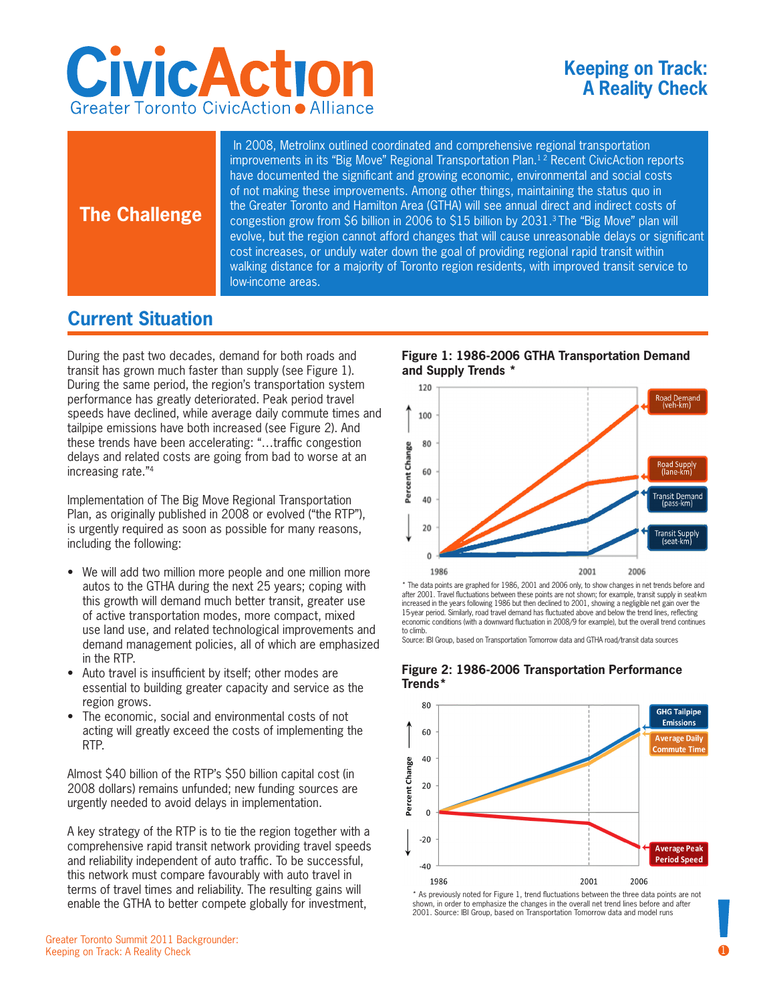

## **Keeping on Track: A Reality Check**

## **The Challenge**

 In 2008, Metrolinx outlined coordinated and comprehensive regional transportation improvements in its "Big Move" Regional Transportation Plan.<sup>12</sup> Recent CivicAction reports have documented the significant and growing economic, environmental and social costs of not making these improvements. Among other things, maintaining the status quo in the Greater Toronto and Hamilton Area (GTHA) will see annual direct and indirect costs of congestion grow from \$6 billion in 2006 to \$15 billion by 2031.<sup>3</sup> The "Big Move" plan will evolve, but the region cannot afford changes that will cause unreasonable delays or significant cost increases, or unduly water down the goal of providing regional rapid transit within walking distance for a majority of Toronto region residents, with improved transit service to low-income areas.

# **Current Situation**

During the past two decades, demand for both roads and transit has grown much faster than supply (see Figure 1). During the same period, the region's transportation system performance has greatly deteriorated. Peak period travel speeds have declined, while average daily commute times and tailpipe emissions have both increased (see Figure 2). And these trends have been accelerating: "…traffic congestion delays and related costs are going from bad to worse at an increasing rate."4

Implementation of The Big Move Regional Transportation Plan, as originally published in 2008 or evolved ("the RTP"), is urgently required as soon as possible for many reasons, including the following:

- We will add two million more people and one million more autos to the GTHA during the next 25 years; coping with this growth will demand much better transit, greater use of active transportation modes, more compact, mixed use land use, and related technological improvements and demand management policies, all of which are emphasized in the RTP.
- Auto travel is insufficient by itself; other modes are essential to building greater capacity and service as the region grows.
- The economic, social and environmental costs of not acting will greatly exceed the costs of implementing the RTP.

Almost \$40 billion of the RTP's \$50 billion capital cost (in 2008 dollars) remains unfunded; new funding sources are urgently needed to avoid delays in implementation.

A key strategy of the RTP is to tie the region together with a comprehensive rapid transit network providing travel speeds and reliability independent of auto traffic. To be successful, this network must compare favourably with auto travel in terms of travel times and reliability. The resulting gains will enable the GTHA to better compete globally for investment,

**Figure 1: 1986-2006 GTHA Transportation Demand and Supply Trends \***



\* The data points are graphed for 1986, 2001 and 2006 only, to show changes in net trends before and after 2001. Travel fluctuations between these points are not shown; for example, transit supply in seat-km increased in the years following 1986 but then declined to 2001, showing a negligible net gain over the 15-year period. Similarly, road travel demand has fluctuated above and below the trend lines, reflecting economic conditions (with a downward fluctuation in 2008/9 for example), but the overall trend continues to climb.

Source: IBI Group, based on Transportation Tomorrow data and GTHA road/transit data sources



#### **Figure 2: 1986-2006 Transportation Performance Trends\***

\* As previously noted for Figure 1, trend fluctuations between the three data points are not shown, in order to emphasize the changes in the overall net trend lines before and after 2001. Source: IBI Group, based on Transportation Tomorrow data and model runs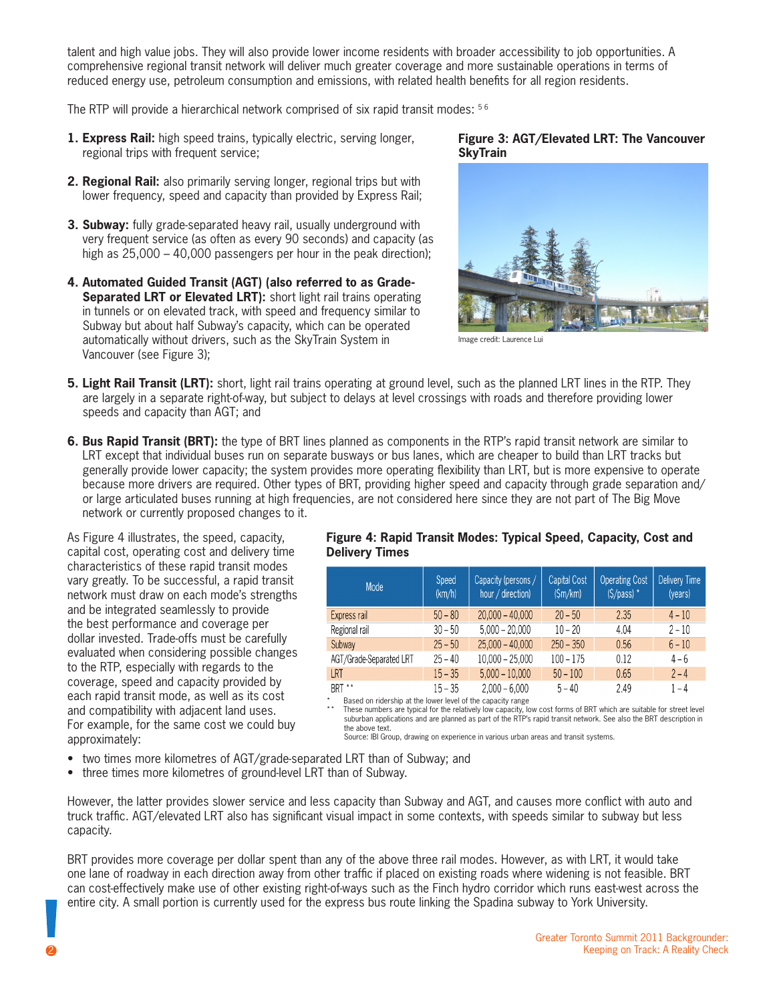talent and high value jobs. They will also provide lower income residents with broader accessibility to job opportunities. A comprehensive regional transit network will deliver much greater coverage and more sustainable operations in terms of reduced energy use, petroleum consumption and emissions, with related health benefits for all region residents.

The RTP will provide a hierarchical network comprised of six rapid transit modes: <sup>56</sup>

- **1. Express Rail:** high speed trains, typically electric, serving longer, regional trips with frequent service;
- **2. Regional Rail:** also primarily serving longer, regional trips but with lower frequency, speed and capacity than provided by Express Rail;
- **3. Subway:** fully grade-separated heavy rail, usually underground with very frequent service (as often as every 90 seconds) and capacity (as high as 25,000 – 40,000 passengers per hour in the peak direction);
- **4. Automated Guided Transit (AGT) (also referred to as Grade-Separated LRT or Elevated LRT):** short light rail trains operating in tunnels or on elevated track, with speed and frequency similar to Subway but about half Subway's capacity, which can be operated automatically without drivers, such as the SkyTrain System in Vancouver (see Figure 3);

### **Figure 3: AGT/Elevated LRT: The Vancouver SkyTrain**



Image credit: Laurence Lui

- **5. Light Rail Transit (LRT):** short, light rail trains operating at ground level, such as the planned LRT lines in the RTP. They are largely in a separate right-of-way, but subject to delays at level crossings with roads and therefore providing lower speeds and capacity than AGT; and
- **6. Bus Rapid Transit (BRT):** the type of BRT lines planned as components in the RTP's rapid transit network are similar to LRT except that individual buses run on separate busways or bus lanes, which are cheaper to build than LRT tracks but generally provide lower capacity; the system provides more operating flexibility than LRT, but is more expensive to operate because more drivers are required. Other types of BRT, providing higher speed and capacity through grade separation and/ or large articulated buses running at high frequencies, are not considered here since they are not part of The Big Move network or currently proposed changes to it.

As Figure 4 illustrates, the speed, capacity, capital cost, operating cost and delivery time characteristics of these rapid transit modes vary greatly. To be successful, a rapid transit network must draw on each mode's strengths and be integrated seamlessly to provide the best performance and coverage per dollar invested. Trade-offs must be carefully evaluated when considering possible changes to the RTP, especially with regards to the coverage, speed and capacity provided by each rapid transit mode, as well as its cost and compatibility with adjacent land uses. For example, for the same cost we could buy approximately:

#### **Figure 4: Rapid Transit Modes: Typical Speed, Capacity, Cost and Delivery Times**

| Mode                    | Speed<br>(km/h) | Capacity (persons /<br>hour / direction) | <b>Capital Cost</b><br>(Sm/km) | <b>Operating Cost</b><br>$(S/pass)$ * | Delivery Time<br>(years) |
|-------------------------|-----------------|------------------------------------------|--------------------------------|---------------------------------------|--------------------------|
| Express rail            | $50 - 80$       | $20,000 - 40,000$                        | $20 - 50$                      | 2.35                                  | $4 - 10$                 |
| Regional rail           | $30 - 50$       | $5,000 - 20,000$                         | $10 - 20$                      | 4.04                                  | $2 - 10$                 |
| Subway                  | $25 - 50$       | $25,000 - 40,000$                        | $250 - 350$                    | 0.56                                  | $6 - 10$                 |
| AGT/Grade-Separated LRT | $25 - 40$       | $10,000 - 25,000$                        | $100 - 175$                    | 0.12                                  | $4 - 6$                  |
| <b>LRT</b>              | $15 - 35$       | $5,000 - 10,000$                         | $50 - 100$                     | 0.65                                  | $2 - 4$                  |
| RRT **                  | $15 - 35$       | $2000 - 6000$                            | $5 - 40$                       | 249                                   | 1 – 4                    |

Based on ridership at the lower level of the capacity range

These numbers are typical for the relatively low capacity, low cost forms of BRT which are suitable for street level<br>suburban applications and are planned as part of the RTP's rapid transit network. See also the BRT descri the above text.

Source: IBI Group, drawing on experience in various urban areas and transit systems.

- two times more kilometres of AGT/grade-separated LRT than of Subway; and
- three times more kilometres of ground-level LRT than of Subway.

However, the latter provides slower service and less capacity than Subway and AGT, and causes more conflict with auto and truck traffic. AGT/elevated LRT also has significant visual impact in some contexts, with speeds similar to subway but less capacity.

BRT provides more coverage per dollar spent than any of the above three rail modes. However, as with LRT, it would take one lane of roadway in each direction away from other traffic if placed on existing roads where widening is not feasible. BRT can cost-effectively make use of other existing right-of-ways such as the Finch hydro corridor which runs east-west across the entire city. A small portion is currently used for the express bus route linking the Spadina subway to York University.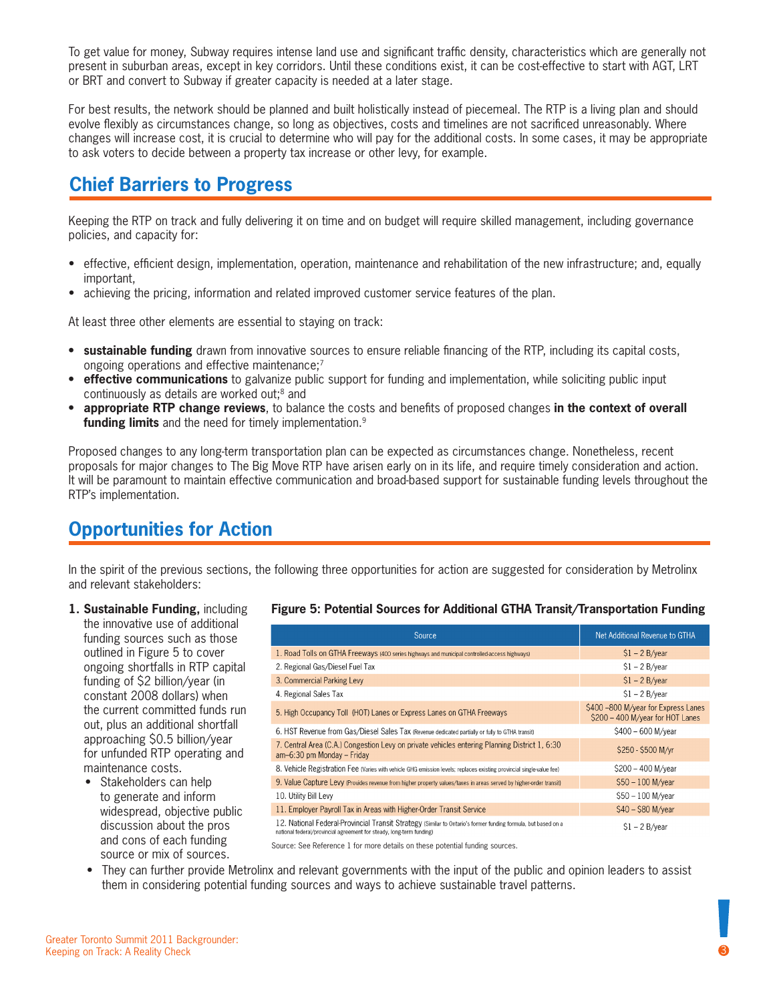To get value for money, Subway requires intense land use and significant traffic density, characteristics which are generally not present in suburban areas, except in key corridors. Until these conditions exist, it can be cost-effective to start with AGT, LRT or BRT and convert to Subway if greater capacity is needed at a later stage.

For best results, the network should be planned and built holistically instead of piecemeal. The RTP is a living plan and should evolve flexibly as circumstances change, so long as objectives, costs and timelines are not sacrificed unreasonably. Where changes will increase cost, it is crucial to determine who will pay for the additional costs. In some cases, it may be appropriate to ask voters to decide between a property tax increase or other levy, for example.

# **Chief Barriers to Progress**

Keeping the RTP on track and fully delivering it on time and on budget will require skilled management, including governance policies, and capacity for:

- effective, efficient design, implementation, operation, maintenance and rehabilitation of the new infrastructure; and, equally important,
- achieving the pricing, information and related improved customer service features of the plan.

At least three other elements are essential to staying on track:

- **• sustainable funding** drawn from innovative sources to ensure reliable financing of the RTP, including its capital costs, ongoing operations and effective maintenance;<sup>7</sup>
- **effective communications** to galvanize public support for funding and implementation, while soliciting public input continuously as details are worked out;8 and
- **• appropriate RTP change reviews**, to balance the costs and benefits of proposed changes **in the context of overall funding limits** and the need for timely implementation.9

Proposed changes to any long-term transportation plan can be expected as circumstances change. Nonetheless, recent proposals for major changes to The Big Move RTP have arisen early on in its life, and require timely consideration and action. It will be paramount to maintain effective communication and broad-based support for sustainable funding levels throughout the RTP's implementation.

# **Opportunities for Action**

In the spirit of the previous sections, the following three opportunities for action are suggested for consideration by Metrolinx and relevant stakeholders:

#### **1. Sustainable Funding,** including the innovative use of additional funding sources such as those outlined in Figure 5 to cover ongoing shortfalls in RTP capital funding of \$2 billion/year (in constant 2008 dollars) when the current committed funds run out, plus an additional shortfall

approaching \$0.5 billion/year for unfunded RTP operating and maintenance costs. • Stakeholders can help

to generate and inform widespread, objective public discussion about the pros and cons of each funding source or mix of sources.

### **Figure 5: Potential Sources for Additional GTHA Transit/Transportation Funding**

| Source                                                                                                                                                                                | Net Additional Revenue to GTHA                                          |  |
|---------------------------------------------------------------------------------------------------------------------------------------------------------------------------------------|-------------------------------------------------------------------------|--|
| 1. Road Tolls on GTHA Freeways (400 series highways and municipal controlled-access highways)                                                                                         | $$1 - 2 B/year$                                                         |  |
| 2. Regional Gas/Diesel Fuel Tax                                                                                                                                                       | $$1 - 2 B/year$                                                         |  |
| 3. Commercial Parking Levy                                                                                                                                                            | $$1 - 2 B/year$                                                         |  |
| 4. Regional Sales Tax                                                                                                                                                                 | $$1 - 2 B/year$                                                         |  |
| 5. High Occupancy Toll (HOT) Lanes or Express Lanes on GTHA Freeways                                                                                                                  | \$400 -800 M/year for Express Lanes<br>\$200 - 400 M/year for HOT Lanes |  |
| 6. HST Revenue from Gas/Diesel Sales Tax (Revenue dedicated partially or fully to GTHA transit)                                                                                       | \$400 - 600 M/vear                                                      |  |
| 7. Central Area (C.A.) Congestion Levy on private vehicles entering Planning District 1, 6:30<br>am-6:30 pm Monday - Friday                                                           | \$250 - \$500 M/vr                                                      |  |
| 8. Vehicle Registration Fee (Varies with vehicle GHG emission levels; replaces existing provincial single-value fee)                                                                  | \$200 - 400 M/year                                                      |  |
| 9. Value Capture Levy (Provides revenue from higher property values/taxes in areas served by higher-order transit)                                                                    | \$50 - 100 M/year                                                       |  |
| 10. Utility Bill Levy                                                                                                                                                                 | \$50 - 100 M/year                                                       |  |
| 11. Employer Payroll Tax in Areas with Higher-Order Transit Service                                                                                                                   | \$40 - \$80 M/year                                                      |  |
| 12. National Federal-Provincial Transit Strategy (Similar to Ontario's former funding formula, but based on a<br>national federal/provincial agreement for steady, long-term funding) | $$1 - 2 B/year$                                                         |  |

Source: See Reference 1 for more details on these potential funding sources.

• They can further provide Metrolinx and relevant governments with the input of the public and opinion leaders to assist them in considering potential funding sources and ways to achieve sustainable travel patterns.